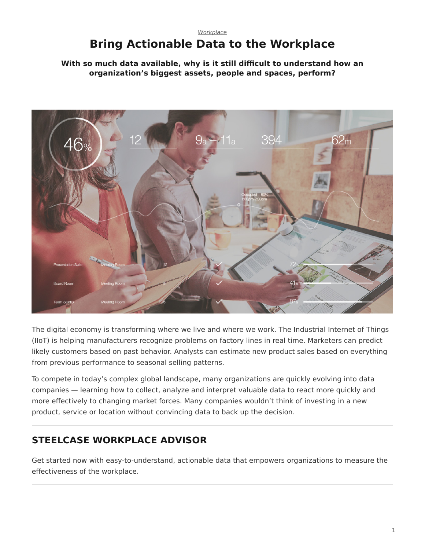#### <span id="page-0-0"></span>*[Workplace](https://www.steelcase.com/research/topics/workplace/)* **Bring Actionable Data to the Workplace**

#### **With so much data available, why is it still difficult to understand how an organization's biggest assets, people and spaces, perform?**



The digital economy is transforming where we live and where we work. The Industrial Internet of Things (IIoT) is helping manufacturers recognize problems on factory lines in real time. Marketers can predict likely customers based on past behavior. Analysts can estimate new product sales based on everything from previous performance to seasonal selling patterns.

To compete in today's complex global landscape, many organizations are quickly evolving into data companies — learning how to collect, analyze and interpret valuable data to react more quickly and more effectively to changing market forces. Many companies wouldn't think of investing in a new product, service or location without convincing data to back up the decision.

# **STEELCASE WORKPLACE ADVISOR**

Get started now with easy-to-understand, actionable data that empowers organizations to measure the effectiveness of the workplace.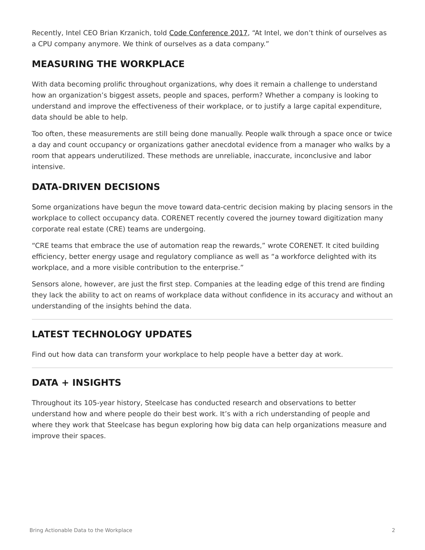Recently, Intel CEO Brian Krzanich, told [Code Conference 2017](https://www.vox.com/2017/6/2/15727220/intel-ceo-brian-krzanich-drones-chips-data-full-code-interview-video), "At Intel, we don't think of ourselves as a CPU company anymore. We think of ourselves as a data company."

# **MEASURING THE WORKPLACE**

With data becoming prolific throughout organizations, why does it remain a challenge to understand how an organization's biggest assets, people and spaces, perform? Whether a company is looking to understand and improve the effectiveness of their workplace, or to justify a large capital expenditure, data should be able to help.

Too often, these measurements are still being done manually. People walk through a space once or twice a day and count occupancy or organizations gather anecdotal evidence from a manager who walks by a room that appears underutilized. These methods are unreliable, inaccurate, inconclusive and labor intensive.

# **DATA-DRIVEN DECISIONS**

Some organizations have begun the move toward data-centric decision making by placing sensors in the workplace to collect occupancy data. CORENET recently covered the journey toward digitization many corporate real estate (CRE) teams are undergoing.

"CRE teams that embrace the use of automation reap the rewards," wrote CORENET. It cited building efficiency, better energy usage and regulatory compliance as well as "a workforce delighted with its workplace, and a more visible contribution to the enterprise."

Sensors alone, however, are just the first step. Companies at the leading edge of this trend are finding they lack the ability to act on reams of workplace data without confidence in its accuracy and without an understanding of the insights behind the data.

# **LATEST TECHNOLOGY UPDATES**

Find out how data can transform your workplace to help people have a better day at work.

# **DATA + INSIGHTS**

Throughout its 105-year history, Steelcase has conducted research and observations to better understand how and where people do their best work. It's with a rich understanding of people and where they work that Steelcase has begun exploring how big data can help organizations measure and improve their spaces.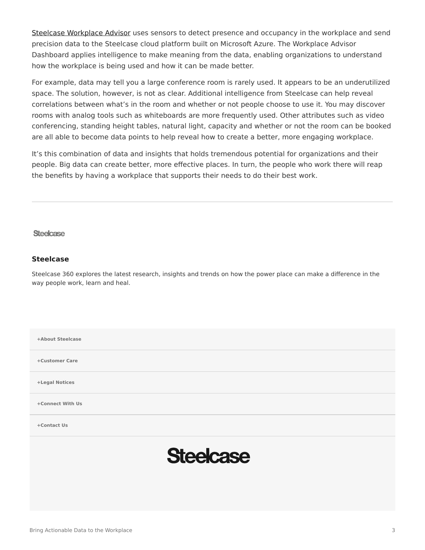[Steelcase Workplace Advisor](https://info.steelcase.com/workplace-advisor) uses sensors to detect presence and occupancy in the workplace and send precision data to the Steelcase cloud platform built on Microsoft Azure. The Workplace Advisor Dashboard applies intelligence to make meaning from the data, enabling organizations to understand how the workplace is being used and how it can be made better.

For example, data may tell you a large conference room is rarely used. It appears to be an underutilized space. The solution, however, is not as clear. Additional intelligence from Steelcase can help reveal correlations between what's in the room and whether or not people choose to use it. You may discover rooms with analog tools such as whiteboards are more frequently used. Other attributes such as video conferencing, standing height tables, natural light, capacity and whether or not the room can be booked are all able to become data points to help reveal how to create a better, more engaging workplace.

It's this combination of data and insights that holds tremendous potential for organizations and their people. Big data can create better, more effective places. In turn, the people who work there will reap the benefits by having a workplace that supports their needs to do their best work.

**Steelcase** 

#### **[Steelcase](https://www.steelcase.com/research/articles/author/steelcase-360/)**

Steelcase 360 explores the latest research, insights and trends on how the power place can make a difference in the way people work, learn and heal.

**[+About Steelcase](https://www.steelcase.com/discover/steelcase/our-company/) [+Customer Care](#page-0-0) [+Legal Notices](#page-0-0) [Connect With Us](https://www.steelcase.com/find-us/social-media/) [+](https://www.steelcase.com/find-us/social-media/) [Contact Us](https://www.steelcase.com/about/connect/contact-us/) [+](https://www.steelcase.com/about/connect/contact-us/) Steelcase**